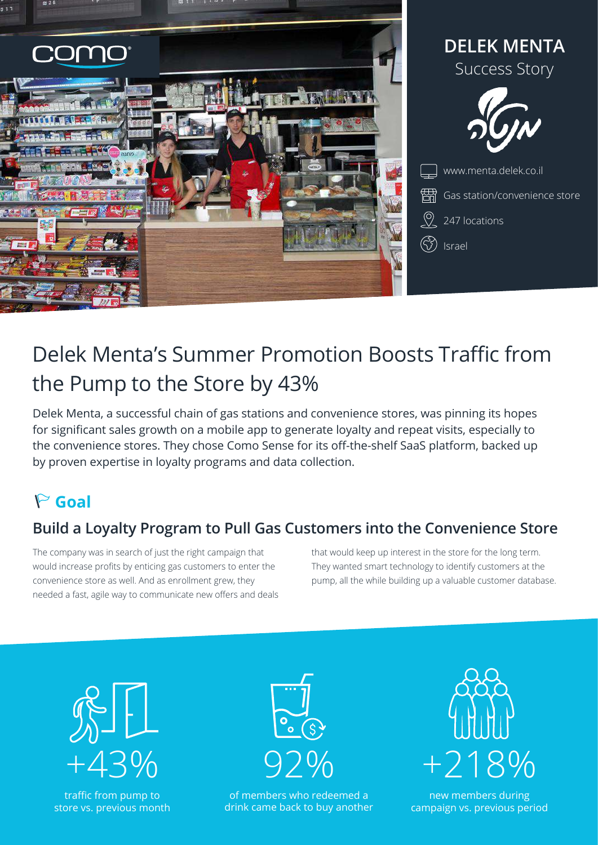



Gas station/convenience store

 $\sqrt{2}$  247 locations

(V) Israel

# Delek Menta's Summer Promotion Boosts Traffic from the Pump to the Store by 43%

Delek Menta, a successful chain of gas stations and convenience stores, was pinning its hopes for significant sales growth on a mobile app to generate loyalty and repeat visits, especially to the convenience stores. They chose Como Sense for its off-the-shelf SaaS platform, backed up by proven expertise in loyalty programs and data collection.

# **Goal**

## **Build a Loyalty Program to Pull Gas Customers into the Convenience Store**

The company was in search of just the right campaign that would increase profits by enticing gas customers to enter the convenience store as well. And as enrollment grew, they needed a fast, agile way to communicate new offers and deals that would keep up interest in the store for the long term. They wanted smart technology to identify customers at the pump, all the while building up a valuable customer database.



traffic from pump to store vs. previous month



of members who redeemed a drink came back to buy another



new members during campaign vs. previous period